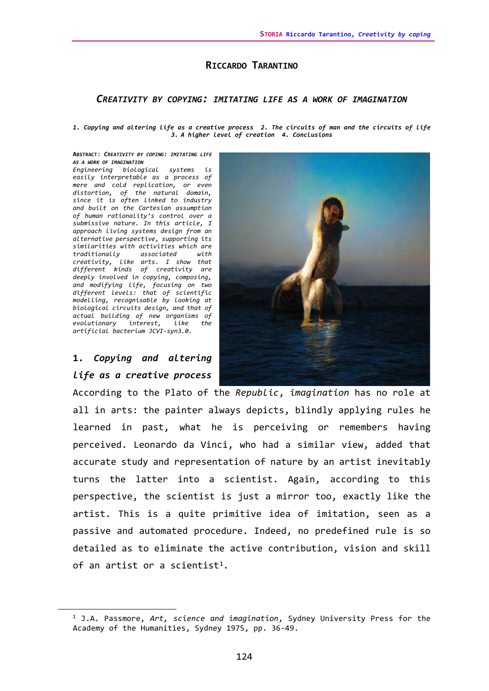# **RICCARDO TARANTINO**

### *CREATIVITY BY COPYING: IMITATING LIFE AS A WORK OF IMAGINATION*

*1. Copying and altering life as a creative process 2. The circuits of man and the circuits of life 3. A higher level of creation 4. Conclusions*

#### **ABSTRACT**: *CREATIVITY BY COPING: IMITATING LIFE AS A WORK OF IMAGINATION*

*Engineering biological systems is easily interpretable as a process of mere and cold replication, or even distortion, of the natural domain, since it is often linked to industry and built on the Cartesian assumption of human rationality's control over a submissive nature. In this article, I approach living systems design from an alternative perspective, supporting its similarities with activities which are traditionally associated with creativity, like arts. I show that different kinds of creativity are deeply involved in copying, composing, and modifying life, focusing on two different levels: that of scientific modelling, recognisable by looking at biological circuits design, and that of actual building of new organisms of evolutionary interest, like the artificial bacterium JCVI-syn3.0.*

# **1.** *Copying and altering life as a creative process*



According to the Plato of the *Republic*, *imagination* has no role at all in arts: the painter always depicts, blindly applying rules he learned in past, what he is perceiving or remembers having perceived. Leonardo da Vinci, who had a similar view, added that accurate study and representation of nature by an artist inevitably turns the latter into a scientist. Again, according to this perspective, the scientist is just a mirror too, exactly like the artist. This is a quite primitive idea of imitation, seen as a passive and automated procedure. Indeed, no predefined rule is so detailed as to eliminate the active contribution, vision and skill of an artist or a scientist<sup>1</sup>.

<span id="page-0-0"></span><sup>1</sup> J.A. Passmore, *Art, science and imagination*, Sydney University Press for the Academy of the Humanities, Sydney 1975, pp. 36-49.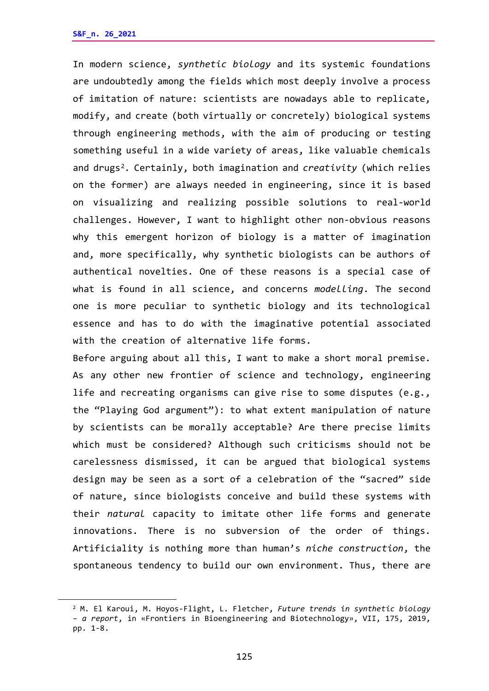In modern science, *synthetic biology* and its systemic foundations are undoubtedly among the fields which most deeply involve a process of imitation of nature: scientists are nowadays able to replicate, modify, and create (both virtually or concretely) biological systems through engineering methods, with the aim of producing or testing something useful in a wide variety of areas, like valuable chemicals and drugs[2.](#page-1-0) Certainly, both imagination and *creativity* (which relies on the former) are always needed in engineering, since it is based on visualizing and realizing possible solutions to real-world challenges. However, I want to highlight other non-obvious reasons why this emergent horizon of biology is a matter of imagination and, more specifically, why synthetic biologists can be authors of authentical novelties. One of these reasons is a special case of what is found in all science, and concerns *modelling*. The second one is more peculiar to synthetic biology and its technological essence and has to do with the imaginative potential associated with the creation of alternative life forms.

Before arguing about all this, I want to make a short moral premise. As any other new frontier of science and technology, engineering life and recreating organisms can give rise to some disputes (e.g., the "Playing God argument"): to what extent manipulation of nature by scientists can be morally acceptable? Are there precise limits which must be considered? Although such criticisms should not be carelessness dismissed, it can be argued that biological systems design may be seen as a sort of a celebration of the "sacred" side of nature, since biologists conceive and build these systems with their *natural* capacity to imitate other life forms and generate innovations. There is no subversion of the order of things. Artificiality is nothing more than human's *niche construction*, the spontaneous tendency to build our own environment. Thus, there are

<span id="page-1-0"></span><sup>2</sup> M. El Karoui, M. Hoyos-Flight, L. Fletcher, *Future trends in synthetic biology – a report*, in «Frontiers in Bioengineering and Biotechnology», VII, 175, 2019, pp. 1-8.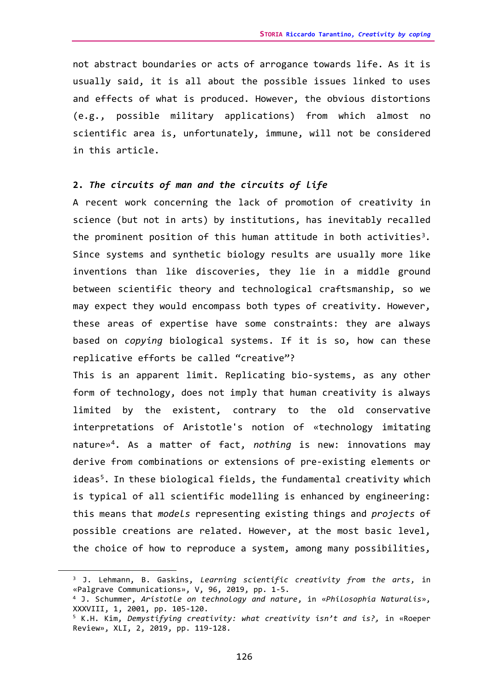not abstract boundaries or acts of arrogance towards life. As it is usually said, it is all about the possible issues linked to uses and effects of what is produced. However, the obvious distortions (e.g., possible military applications) from which almost no scientific area is, unfortunately, immune, will not be considered in this article.

# **2.** *The circuits of man and the circuits of life*

A recent work concerning the lack of promotion of creativity in science (but not in arts) by institutions, has inevitably recalled the prominent position of this human attitude in both activities<sup>3</sup>. Since systems and synthetic biology results are usually more like inventions than like discoveries, they lie in a middle ground between scientific theory and technological craftsmanship, so we may expect they would encompass both types of creativity. However, these areas of expertise have some constraints: they are always based on *copying* biological systems. If it is so, how can these replicative efforts be called "creative"?

This is an apparent limit. Replicating bio-systems, as any other form of technology, does not imply that human creativity is always limited by the existent, contrary to the old conservative interpretations of Aristotle's notion of «technology imitating nature»[4.](#page-2-1) As a matter of fact, *nothing* is new: innovations may derive from combinations or extensions of pre-existing elements or ideas<sup>5</sup>. In these biological fields, the fundamental creativity which is typical of all scientific modelling is enhanced by engineering: this means that *models* representing existing things and *projects* of possible creations are related. However, at the most basic level, the choice of how to reproduce a system, among many possibilities,

<span id="page-2-0"></span><sup>3</sup> J. Lehmann, B. Gaskins, *Learning scientific creativity from the arts*, in «Palgrave Communications», V, 96, 2019, pp. 1-5.

<span id="page-2-1"></span><sup>4</sup> J. Schummer, *Aristotle on technology and nature*, in «*Philosophia Naturalis*», XXXVIII, 1, 2001, pp. 105-120.

<span id="page-2-2"></span><sup>5</sup> K.H. Kim, *Demystifying creativity: what creativity isn't and is?,* in «Roeper Review», XLI, 2, 2019, pp. 119-128.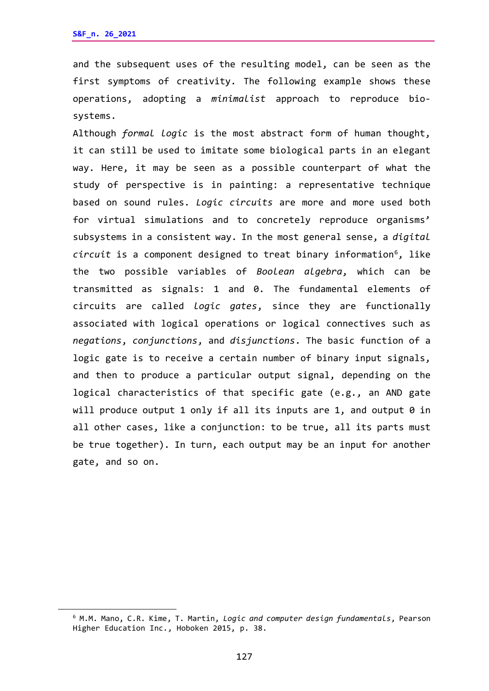and the subsequent uses of the resulting model, can be seen as the first symptoms of creativity. The following example shows these operations, adopting a *minimalist* approach to reproduce biosystems.

Although *formal logic* is the most abstract form of human thought, it can still be used to imitate some biological parts in an elegant way. Here, it may be seen as a possible counterpart of what the study of perspective is in painting: a representative technique based on sound rules. *Logic circuits* are more and more used both for virtual simulations and to concretely reproduce organisms' subsystems in a consistent way. In the most general sense, a *digital circuit* is a component designed to treat binary information<sup>6</sup>, like the two possible variables of *Boolean algebra*, which can be transmitted as signals: 1 and 0. The fundamental elements of circuits are called *logic gates*, since they are functionally associated with logical operations or logical connectives such as *negations*, *conjunctions*, and *disjunctions*. The basic function of a logic gate is to receive a certain number of binary input signals, and then to produce a particular output signal, depending on the logical characteristics of that specific gate (e.g., an AND gate will produce output 1 only if all its inputs are 1, and output 0 in all other cases, like a conjunction: to be true, all its parts must be true together). In turn, each output may be an input for another gate, and so on.

<span id="page-3-0"></span><sup>6</sup> M.M. Mano, C.R. Kime, T. Martin, *Logic and computer design fundamentals*, Pearson Higher Education Inc., Hoboken 2015, p. 38.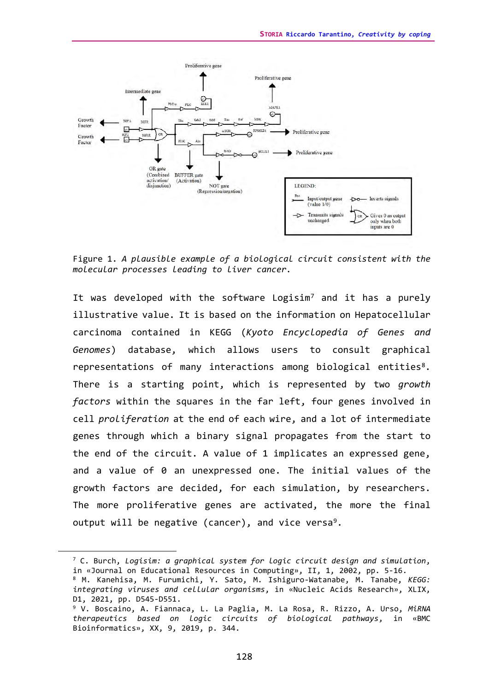

Figure 1. *A plausible example of a biological circuit consistent with the molecular processes leading to liver cancer.*

It was developed with the software Logisim<sup>[7](#page-4-0)</sup> and it has a purely illustrative value. It is based on the information on Hepatocellular carcinoma contained in KEGG (*Kyoto Encyclopedia of Genes and Genomes*) database, which allows users to consult graphical representations of many interactions among biological entities<sup>8</sup>. There is a starting point, which is represented by two *growth factors* within the squares in the far left, four genes involved in cell *proliferation* at the end of each wire, and a lot of intermediate genes through which a binary signal propagates from the start to the end of the circuit. A value of 1 implicates an expressed gene, and a value of 0 an unexpressed one. The initial values of the growth factors are decided, for each simulation, by researchers. The more proliferative genes are activated, the more the final output will be negative (cancer), and vice versa<sup>9</sup>.

<span id="page-4-0"></span><sup>7</sup> C. Burch, *Logisim: a graphical system for logic circuit design and simulation*, in «Journal on Educational Resources in Computing», II, 1, 2002, pp. 5-16.

<span id="page-4-1"></span><sup>8</sup> M. Kanehisa, M. Furumichi, Y. Sato, M. Ishiguro-Watanabe, M. Tanabe, *KEGG: integrating viruses and cellular organisms*, in «Nucleic Acids Research», XLIX, D1, 2021, pp. D545-D551.

<span id="page-4-2"></span><sup>9</sup> V. Boscaino, A. Fiannaca, L. La Paglia, M. La Rosa, R. Rizzo, A. Urso, *MiRNA therapeutics based on logic circuits of biological pathways*, in «BMC Bioinformatics», XX, 9, 2019, p. 344.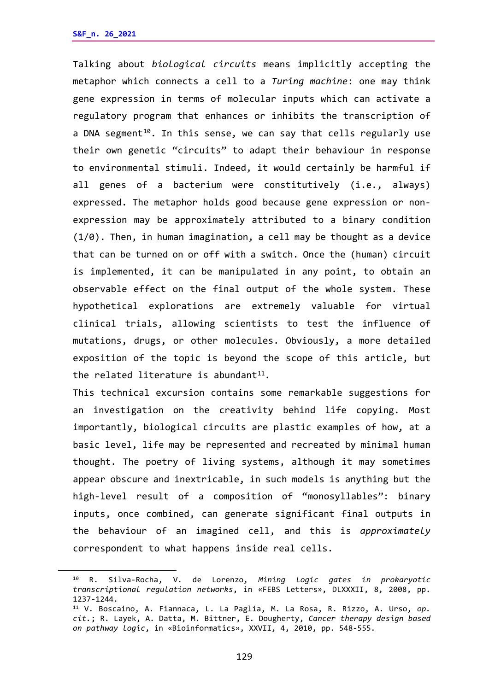Talking about *biological circuits* means implicitly accepting the metaphor which connects a cell to a *Turing machine*: one may think gene expression in terms of molecular inputs which can activate a regulatory program that enhances or inhibits the transcription of a DNA segment<sup>10</sup>. In this sense, we can say that cells regularly use their own genetic "circuits" to adapt their behaviour in response to environmental stimuli. Indeed, it would certainly be harmful if all genes of a bacterium were constitutively (i.e., always) expressed. The metaphor holds good because gene expression or nonexpression may be approximately attributed to a binary condition (1/0). Then, in human imagination, a cell may be thought as a device that can be turned on or off with a switch. Once the (human) circuit is implemented, it can be manipulated in any point, to obtain an observable effect on the final output of the whole system. These hypothetical explorations are extremely valuable for virtual clinical trials, allowing scientists to test the influence of mutations, drugs, or other molecules. Obviously, a more detailed exposition of the topic is beyond the scope of this article, but the related literature is abundant<sup>11</sup>.

This technical excursion contains some remarkable suggestions for an investigation on the creativity behind life copying. Most importantly, biological circuits are plastic examples of how, at a basic level, life may be represented and recreated by minimal human thought. The poetry of living systems, although it may sometimes appear obscure and inextricable, in such models is anything but the high-level result of a composition of "monosyllables": binary inputs, once combined, can generate significant final outputs in the behaviour of an imagined cell, and this is *approximately* correspondent to what happens inside real cells.

<span id="page-5-0"></span><sup>10</sup> R. Silva-Rocha, V. de Lorenzo, *Mining logic gates in prokaryotic transcriptional regulation networks*, in «FEBS Letters», DLXXXII, 8, 2008, pp. 1237-1244.

<span id="page-5-1"></span><sup>11</sup> V. Boscaino, A. Fiannaca, L. La Paglia, M. La Rosa, R. Rizzo, A. Urso, *op. cit.*; R. Layek, A. Datta, M. Bittner, E. Dougherty, *Cancer therapy design based on pathway logic*, in «Bioinformatics», XXVII, 4, 2010, pp. 548-555.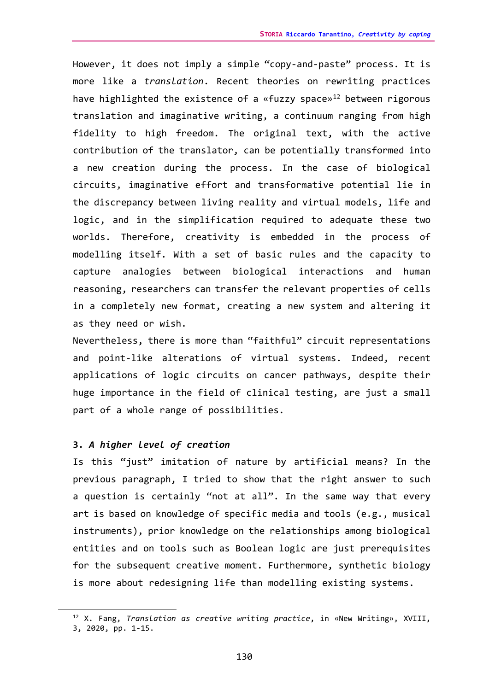However, it does not imply a simple "copy-and-paste" process. It is more like a *translation*. Recent theories on rewriting practices have highlighted the existence of a «fuzzy space»<sup>[12](#page-6-0)</sup> between rigorous translation and imaginative writing, a continuum ranging from high fidelity to high freedom. The original text, with the active contribution of the translator, can be potentially transformed into a new creation during the process. In the case of biological circuits, imaginative effort and transformative potential lie in the discrepancy between living reality and virtual models, life and logic, and in the simplification required to adequate these two worlds. Therefore, creativity is embedded in the process of modelling itself. With a set of basic rules and the capacity to capture analogies between biological interactions and human reasoning, researchers can transfer the relevant properties of cells in a completely new format, creating a new system and altering it as they need or wish.

Nevertheless, there is more than "faithful" circuit representations and point-like alterations of virtual systems. Indeed, recent applications of logic circuits on cancer pathways, despite their huge importance in the field of clinical testing, are just a small part of a whole range of possibilities.

### **3.** *A higher level of creation*

Is this "just" imitation of nature by artificial means? In the previous paragraph, I tried to show that the right answer to such a question is certainly "not at all". In the same way that every art is based on knowledge of specific media and tools (e.g., musical instruments), prior knowledge on the relationships among biological entities and on tools such as Boolean logic are just prerequisites for the subsequent creative moment. Furthermore, synthetic biology is more about redesigning life than modelling existing systems.

<span id="page-6-0"></span><sup>12</sup> X. Fang, *Translation as creative writing practice*, in «New Writing», XVIII,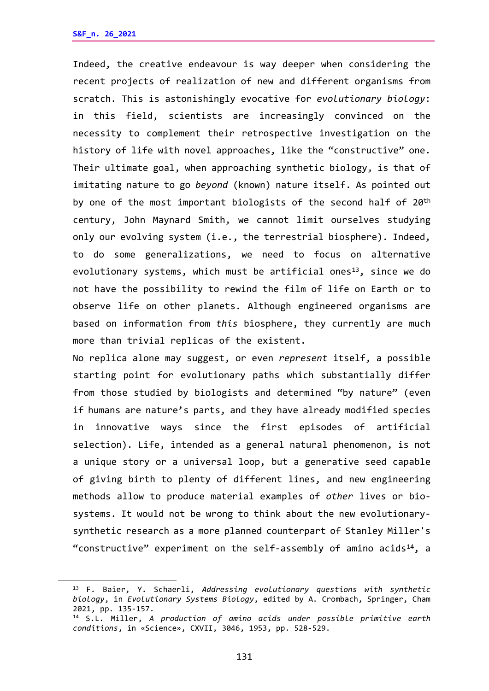Indeed, the creative endeavour is way deeper when considering the recent projects of realization of new and different organisms from scratch. This is astonishingly evocative for *evolutionary biology*: in this field, scientists are increasingly convinced on the necessity to complement their retrospective investigation on the history of life with novel approaches, like the "constructive" one. Their ultimate goal, when approaching synthetic biology, is that of imitating nature to go *beyond* (known) nature itself. As pointed out by one of the most important biologists of the second half of 20<sup>th</sup> century, John Maynard Smith, we cannot limit ourselves studying only our evolving system (i.e., the terrestrial biosphere). Indeed, to do some generalizations, we need to focus on alternative evolutionary systems, which must be artificial ones<sup>13</sup>, since we do not have the possibility to rewind the film of life on Earth or to observe life on other planets. Although engineered organisms are based on information from *this* biosphere, they currently are much more than trivial replicas of the existent.

No replica alone may suggest, or even *represent* itself, a possible starting point for evolutionary paths which substantially differ from those studied by biologists and determined "by nature" (even if humans are nature's parts, and they have already modified species in innovative ways since the first episodes of artificial selection). Life, intended as a general natural phenomenon, is not a unique story or a universal loop, but a generative seed capable of giving birth to plenty of different lines, and new engineering methods allow to produce material examples of *other* lives or biosystems. It would not be wrong to think about the new evolutionarysynthetic research as a more planned counterpart of Stanley Miller's "constructive" experiment on the self-assembly of amino acids<sup>[14](#page-7-1)</sup>, a

<span id="page-7-0"></span><sup>13</sup> F. Baier, Y. Schaerli, *Addressing evolutionary questions with synthetic biology*, in *Evolutionary Systems Biology*, edited by A. Crombach, Springer, Cham 2021, pp. 135-157.

<span id="page-7-1"></span><sup>14</sup> S.L. Miller, *A production of amino acids under possible primitive earth conditions*, in «Science», CXVII, 3046, 1953, pp. 528-529.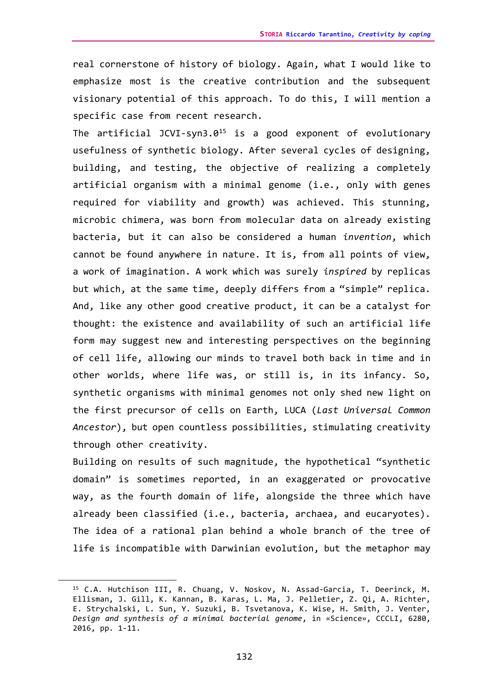real cornerstone of history of biology. Again, what I would like to emphasize most is the creative contribution and the subsequent visionary potential of this approach. To do this, I will mention a specific case from recent research.

The artificial JCVI-syn3.0<sup>[15](#page-8-0)</sup> is a good exponent of evolutionary usefulness of synthetic biology. After several cycles of designing, building, and testing, the objective of realizing a completely artificial organism with a minimal genome (i.e., only with genes required for viability and growth) was achieved. This stunning, microbic chimera, was born from molecular data on already existing bacteria, but it can also be considered a human *invention*, which cannot be found anywhere in nature. It is, from all points of view, a work of imagination. A work which was surely *inspired* by replicas but which, at the same time, deeply differs from a "simple" replica. And, like any other good creative product, it can be a catalyst for thought: the existence and availability of such an artificial life form may suggest new and interesting perspectives on the beginning of cell life, allowing our minds to travel both back in time and in other worlds, where life was, or still is, in its infancy. So, synthetic organisms with minimal genomes not only shed new light on the first precursor of cells on Earth, LUCA (*Last Universal Common Ancestor*), but open countless possibilities, stimulating creativity through other creativity.

Building on results of such magnitude, the hypothetical "synthetic domain" is sometimes reported, in an exaggerated or provocative way, as the fourth domain of life, alongside the three which have already been classified (i.e., bacteria, archaea, and eucaryotes). The idea of a rational plan behind a whole branch of the tree of life is incompatible with Darwinian evolution, but the metaphor may

<span id="page-8-0"></span><sup>15</sup> C.A. Hutchison III, R. Chuang, V. Noskov, N. Assad-Garcia, T. Deerinck, M. Ellisman, J. Gill, K. Kannan, B. Karas, L. Ma, J. Pelletier, Z. Qi, A. Richter, E. Strychalski, L. Sun, Y. Suzuki, B. Tsvetanova, K. Wise, H. Smith, J. Venter, *Design and synthesis of a minimal bacterial genome*, in «Science», CCCLI, 6280, 2016, pp. 1-11.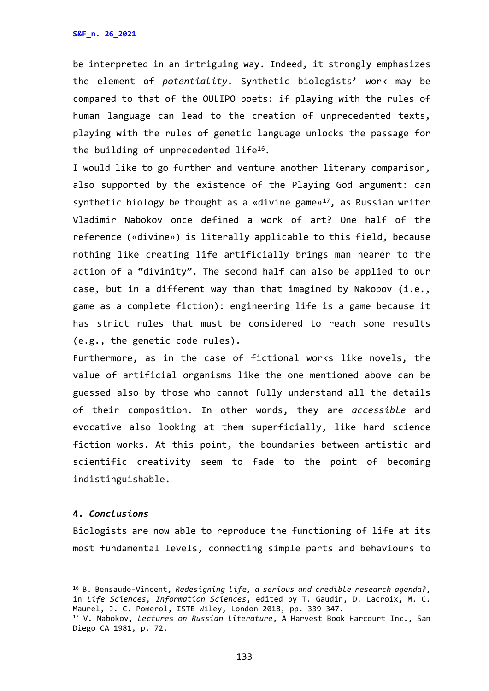be interpreted in an intriguing way. Indeed, it strongly emphasizes the element of *potentiality*. Synthetic biologists' work may be compared to that of the OULIPO poets: if playing with the rules of human language can lead to the creation of unprecedented texts, playing with the rules of genetic language unlocks the passage for the building of unprecedented  $life^{16}$ .

I would like to go further and venture another literary comparison, also supported by the existence of the Playing God argument: can synthetic biology be thought as a «divine game» $17$ , as Russian writer Vladimir Nabokov once defined a work of art? One half of the reference («divine») is literally applicable to this field, because nothing like creating life artificially brings man nearer to the action of a "divinity". The second half can also be applied to our case, but in a different way than that imagined by Nakobov (i.e., game as a complete fiction): engineering life is a game because it has strict rules that must be considered to reach some results (e.g., the genetic code rules).

Furthermore, as in the case of fictional works like novels, the value of artificial organisms like the one mentioned above can be guessed also by those who cannot fully understand all the details of their composition. In other words, they are *accessible* and evocative also looking at them superficially, like hard science fiction works. At this point, the boundaries between artistic and scientific creativity seem to fade to the point of becoming indistinguishable.

### **4.** *Conclusions*

Biologists are now able to reproduce the functioning of life at its most fundamental levels, connecting simple parts and behaviours to

<span id="page-9-0"></span><sup>16</sup> B. Bensaude-Vincent, *Redesigning life, a serious and credible research agenda?*, in *Life Sciences, Information Sciences*, edited by T. Gaudin, D. Lacroix, M. C. Maurel, J. C. Pomerol, ISTE-Wiley, London 2018, pp. 339-347.

<span id="page-9-1"></span><sup>17</sup> V. Nabokov, *Lectures on Russian literature*, A Harvest Book Harcourt Inc., San Diego CA 1981, p. 72.